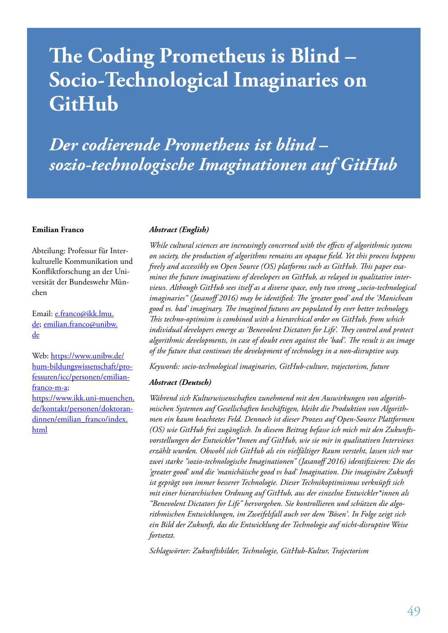# **The Coding Prometheus is Blind – Socio-Technological Imaginaries on GitHub**

*Der codierende Prometheus ist blind – sozio-technologische Imaginationen auf GitHub*

#### **Emilian Franco**

Abteilung: Professur für Interkulturelle Kommunikation und Konfliktforschung an der Universität der Bundeswehr München

Email: e.franco@ikk.lmu. de; emilian.franco@unibw. de

Web: https://www.unibw.de/ hum-bildungswissenschaft/professuren/icc/personen/emilianfranco-m-a; https://www.ikk.uni-muenchen. de/kontakt/personen/doktorandinnen/emilian\_franco/index. html

#### *Abstract (English)*

*While cultural sciences are increasingly concerned with the effects of algorithmic systems on society, the production of algorithms remains an opaque field. Yet this process happens freely and accessibly on Open Source (OS) platforms such as GitHub. This paper examines the future imaginations of developers on GitHub, as relayed in qualitative interviews. Although GitHub sees itself as a diverse space, only two strong "socio-technological imaginaries" (Jasanoff 2016) may be identified: The 'greater good' and the 'Manichean good vs. bad' imaginary. The imagined futures are populated by ever better technology. This techno-optimism is combined with a hierarchical order on GitHub, from which individual developers emerge as 'Benevolent Dictators for Life'. They control and protect algorithmic developments, in case of doubt even against the 'bad'. The result is an image of the future that continues the development of technology in a non-disruptive way.* 

*Keywords: socio-technological imaginaries, GitHub-culture, trajectorism, future*

#### *Abstract (Deutsch)*

*Während sich Kulturwissenschaften zunehmend mit den Auswirkungen von algorithmischen Systemen auf Gesellschaften beschäftigen, bleibt die Produktion von Algorithmen ein kaum beachtetes Feld. Dennoch ist dieser Prozess auf Open-Source Plattformen (OS) wie GitHub frei zugänglich. In diesem Beitrag befasse ich mich mit den Zukunftsvorstellungen der Entwickler\*Innen auf GitHub, wie sie mir in qualitativen Interviews erzählt wurden. Obwohl sich GitHub als ein vielfältiger Raum versteht, lassen sich nur zwei starke "sozio-technologische Imaginationen" (Jasanoff 2016) identifizieren: Die des 'greater good' und die 'manichäische good vs bad' Imagination. Die imaginäre Zukunft ist geprägt von immer besserer Technologie. Dieser Technikoptimismus verknüpft sich mit einer hierarchischen Ordnung auf GitHub, aus der einzelne Entwickler\*innen als "Benevolent Dictators for Life" hervorgehen. Sie kontrollieren und schützen die algorithmischen Entwicklungen, im Zweifelsfall auch vor dem 'Bösen'. In Folge zeigt sich ein Bild der Zukunft, das die Entwicklung der Technologie auf nicht-disruptive Weise fortsetzt.* 

*Schlagwörter: Zukunftsbilder, Technologie, GitHub-Kultur, Trajectorism*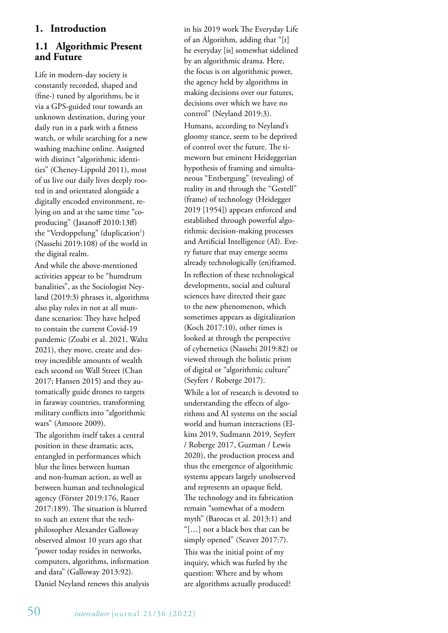## **1. Introduction**

#### **1.1 Algorithmic Present and Future**

Life in modern-day society is constantly recorded, shaped and (fine-) tuned by algorithms, be it via a GPS-guided tour towards an unknown destination, during your daily run in a park with a fitness watch, or while searching for a new washing machine online. Assigned with distinct "algorithmic identities" (Cheney-Lippold 2011), most of us live our daily lives deeply rooted in and orientated alongside a digitally encoded environment, relying on and at the same time "coproducing" (Jasanoff 2010:13ff) the "Verdoppelung" (duplication<sup>1</sup>) (Nassehi 2019:108) of the world in the digital realm.

And while the above-mentioned activities appear to be "humdrum banalities", as the Sociologist Neyland (2019:3) phrases it, algorithms also play roles in not at all mundane scenarios: They have helped to contain the current Covid-19 pandemic (Zoabi et al. 2021, Waltz 2021), they move, create and destroy incredible amounts of wealth each second on Wall Street (Chan 2017; Hansen 2015) and they automatically guide drones to targets in faraway countries, transforming military conflicts into "algorithmic wars" (Amoore 2009). The algorithm itself takes a central

position in these dramatic acts, entangled in performances which blur the lines between human and non-human action, as well as between human and technological agency (Förster 2019:176, Rauer 2017:189). The situation is blurred to such an extent that the techphilosopher Alexander Galloway observed almost 10 years ago that "power today resides in networks, computers, algorithms, information and data" (Galloway 2013:92).

Daniel Neyland renews this analysis

in his 2019 work The Everyday Life of an Algorithm, adding that "[t] he everyday [is] somewhat sidelined by an algorithmic drama. Here, the focus is on algorithmic power, the agency held by algorithms in making decisions over our futures, decisions over which we have no control" (Neyland 2019:3).

Humans, according to Neyland's gloomy stance, seem to be deprived of control over the future. The timeworn but eminent Heideggerian hypothesis of framing and simultaneous "Entbergung" (revealing) of reality in and through the "Gestell" (frame) of technology (Heidegger 2019 [1954]) appears enforced and established through powerful algorithmic decision-making processes and Artificial Intelligence (AI). Every future that may emerge seems already technologically (en)framed. In reflection of these technological developments, social and cultural sciences have directed their gaze to the new phenomenon, which sometimes appears as digitalization (Koch 2017:10), other times is looked at through the perspective of cybernetics (Nassehi 2019:82) or viewed through the holistic prism of digital or "algorithmic culture" (Seyfert / Roberge 2017).

While a lot of research is devoted to understanding the effects of algorithms and AI systems on the social world and human interactions (Elkins 2019, Sudmann 2019, Seyfert / Roberge 2017, Guzman / Lewis 2020), the production process and thus the emergence of algorithmic systems appears largely unobserved and represents an opaque field. The technology and its fabrication remain "somewhat of a modern myth" (Barocas et al. 2013:1) and "[…] not a black box that can be simply opened" (Seaver 2017:7). This was the initial point of my inquiry, which was fueled by the question: Where and by whom are algorithms actually produced?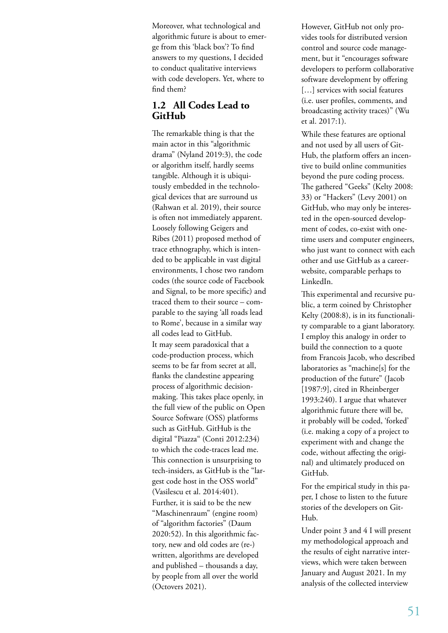Moreover, what technological and algorithmic future is about to emerge from this 'black box'? To find answers to my questions, I decided to conduct qualitative interviews with code developers. Yet, where to find them?

#### **1.2 All Codes Lead to GitHub**

The remarkable thing is that the main actor in this "algorithmic drama" (Nyland 2019:3), the code or algorithm itself, hardly seems tangible. Although it is ubiquitously embedded in the technological devices that are surround us (Rahwan et al. 2019), their source is often not immediately apparent. Loosely following Geigers and Ribes (2011) proposed method of trace ethnography, which is intended to be applicable in vast digital environments, I chose two random codes (the source code of Facebook and Signal, to be more specific) and traced them to their source – comparable to the saying 'all roads lead to Rome', because in a similar way all codes lead to GitHub. It may seem paradoxical that a code-production process, which seems to be far from secret at all, flanks the clandestine appearing process of algorithmic decisionmaking. This takes place openly, in the full view of the public on Open Source Software (OSS) platforms such as GitHub. GitHub is the digital "Piazza" (Conti 2012:234) to which the code-traces lead me. This connection is unsurprising to tech-insiders, as GitHub is the "largest code host in the OSS world" (Vasilescu et al. 2014:401). Further, it is said to be the new "Maschinenraum" (engine room) of "algorithm factories" (Daum 2020:52). In this algorithmic factory, new and old codes are (re-) written, algorithms are developed and published – thousands a day, by people from all over the world (Octovers 2021).

However, GitHub not only provides tools for distributed version control and source code management, but it "encourages software developers to perform collaborative software development by offering [...] services with social features (i.e. user profiles, comments, and broadcasting activity traces)" (Wu et al. 2017:1).

While these features are optional and not used by all users of Git-Hub, the platform offers an incentive to build online communities beyond the pure coding process. The gathered "Geeks" (Kelty 2008: 33) or "Hackers" (Levy 2001) on GitHub, who may only be interested in the open-sourced development of codes, co-exist with onetime users and computer engineers, who just want to connect with each other and use GitHub as a careerwebsite, comparable perhaps to LinkedIn.

This experimental and recursive public, a term coined by Christopher Kelty (2008:8), is in its functionality comparable to a giant laboratory. I employ this analogy in order to build the connection to a quote from Francois Jacob, who described laboratories as "machine[s] for the production of the future" (Jacob [1987:9], cited in Rheinberger 1993:240). I argue that whatever algorithmic future there will be, it probably will be coded, 'forked' (i.e. making a copy of a project to experiment with and change the code, without affecting the original) and ultimately produced on GitHub.

For the empirical study in this paper, I chose to listen to the future stories of the developers on Git-Hub.

Under point 3 and 4 I will present my methodological approach and the results of eight narrative interviews, which were taken between January and August 2021. In my analysis of the collected interview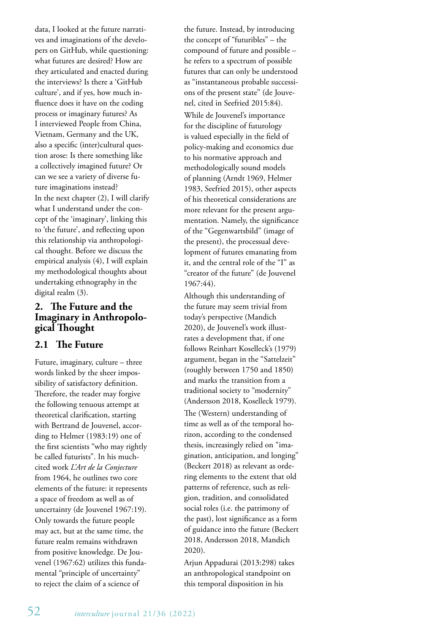data, I looked at the future narratives and imaginations of the developers on GitHub, while questioning: what futures are desired? How are they articulated and enacted during the interviews? Is there a 'GitHub culture', and if yes, how much influence does it have on the coding process or imaginary futures? As I interviewed People from China, Vietnam, Germany and the UK, also a specific (inter)cultural question arose: Is there something like a collectively imagined future? Or can we see a variety of diverse future imaginations instead? In the next chapter (2), I will clarify what I understand under the concept of the 'imaginary', linking this to 'the future', and reflecting upon this relationship via anthropological thought. Before we discuss the empirical analysis (4), I will explain my methodological thoughts about undertaking ethnography in the digital realm (3).

# **2. The Future and the Imaginary in Anthropolo- gical Thought**

#### **2.1 The Future**

Future, imaginary, culture – three words linked by the sheer impossibility of satisfactory definition. Therefore, the reader may forgive the following tenuous attempt at theoretical clarification, starting with Bertrand de Jouvenel, according to Helmer (1983:19) one of the first scientists "who may rightly be called futurists". In his muchcited work *L'Art de la Conjecture*  from 1964, he outlines two core elements of the future: it represents a space of freedom as well as of uncertainty (de Jouvenel 1967:19). Only towards the future people may act, but at the same time, the future realm remains withdrawn from positive knowledge. De Jouvenel (1967:62) utilizes this fundamental "principle of uncertainty" to reject the claim of a science of

the future. Instead, by introducing the concept of "futuribles" – the compound of future and possible – he refers to a spectrum of possible futures that can only be understood as "instantaneous probable successions of the present state" (de Jouvenel, cited in Seefried 2015:84).

While de Jouvenel's importance for the discipline of futurology is valued especially in the field of policy-making and economics due to his normative approach and methodologically sound models of planning (Arndt 1969, Helmer 1983, Seefried 2015), other aspects of his theoretical considerations are more relevant for the present argumentation. Namely, the significance of the "Gegenwartsbild" (image of the present), the processual development of futures emanating from it, and the central role of the "I" as "creator of the future" (de Jouvenel 1967:44).

Although this understanding of the future may seem trivial from today's perspective (Mandich 2020), de Jouvenel's work illustrates a development that, if one follows Reinhart Koselleck's (1979) argument, began in the "Sattelzeit" (roughly between 1750 and 1850) and marks the transition from a traditional society to "modernity" (Andersson 2018, Koselleck 1979).

The (Western) understanding of time as well as of the temporal horizon, according to the condensed thesis, increasingly relied on "imagination, anticipation, and longing" (Beckert 2018) as relevant as ordering elements to the extent that old patterns of reference, such as religion, tradition, and consolidated social roles (i.e. the patrimony of the past), lost significance as a form of guidance into the future (Beckert 2018, Andersson 2018, Mandich 2020).

Arjun Appadurai (2013:298) takes an anthropological standpoint on this temporal disposition in his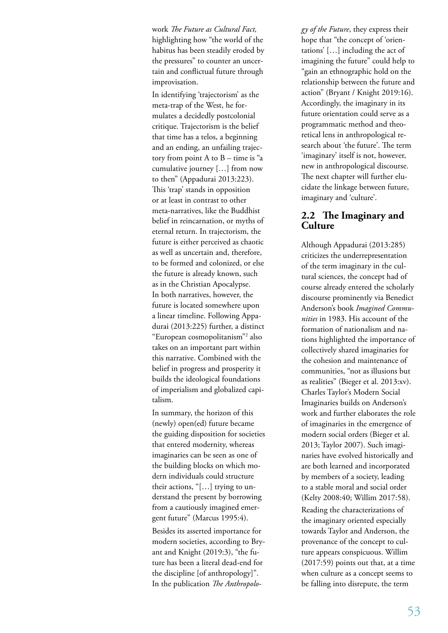work *The Future as Cultural Fact,* highlighting how "the world of the habitus has been steadily eroded by the pressures" to counter an uncertain and conflictual future through improvisation.

In identifying 'trajectorism' as the meta-trap of the West, he formulates a decidedly postcolonial critique. Trajectorism is the belief that time has a telos, a beginning and an ending, an unfailing trajectory from point  $A$  to  $B$  – time is "a cumulative journey […] from now to then" (Appadurai 2013:223). This 'trap' stands in opposition or at least in contrast to other meta-narratives, like the Buddhist belief in reincarnation, or myths of eternal return. In trajectorism, the future is either perceived as chaotic as well as uncertain and, therefore, to be formed and colonized, or else the future is already known, such as in the Christian Apocalypse. In both narratives, however, the future is located somewhere upon a linear timeline. Following Appadurai (2013:225) further, a distinct "European cosmopolitanism"2 also takes on an important part within this narrative. Combined with the belief in progress and prosperity it builds the ideological foundations of imperialism and globalized capitalism.

In summary, the horizon of this (newly) open(ed) future became the guiding disposition for societies that entered modernity, whereas imaginaries can be seen as one of the building blocks on which modern individuals could structure their actions, "[…] trying to understand the present by borrowing from a cautiously imagined emergent future" (Marcus 1995:4).

Besides its asserted importance for modern societies, according to Bryant and Knight (2019:3), "the future has been a literal dead-end for the discipline [of anthropology]". In the publication *The Anthropolo-* *gy of the Future*, they express their hope that "the concept of 'orientations' […] including the act of imagining the future" could help to "gain an ethnographic hold on the relationship between the future and action" (Bryant / Knight 2019:16). Accordingly, the imaginary in its future orientation could serve as a programmatic method and theoretical lens in anthropological research about 'the future'. The term 'imaginary' itself is not, however, new in anthropological discourse. The next chapter will further elucidate the linkage between future, imaginary and 'culture'.

#### **2.2 The Imaginary and Culture**

Although Appadurai (2013:285) criticizes the underrepresentation of the term imaginary in the cultural sciences, the concept had of course already entered the scholarly discourse prominently via Benedict Anderson's book *Imagined Communities* in 1983. His account of the formation of nationalism and nations highlighted the importance of collectively shared imaginaries for the cohesion and maintenance of communities, "not as illusions but as realities" (Bieger et al. 2013:xv). Charles Taylor's Modern Social Imaginaries builds on Anderson's work and further elaborates the role of imaginaries in the emergence of modern social orders (Bieger et al. 2013; Taylor 2007). Such imaginaries have evolved historically and are both learned and incorporated by members of a society, leading to a stable moral and social order (Kelty 2008:40; Willim 2017:58).

Reading the characterizations of the imaginary oriented especially towards Taylor and Anderson, the provenance of the concept to culture appears conspicuous. Willim (2017:59) points out that, at a time when culture as a concept seems to be falling into disrepute, the term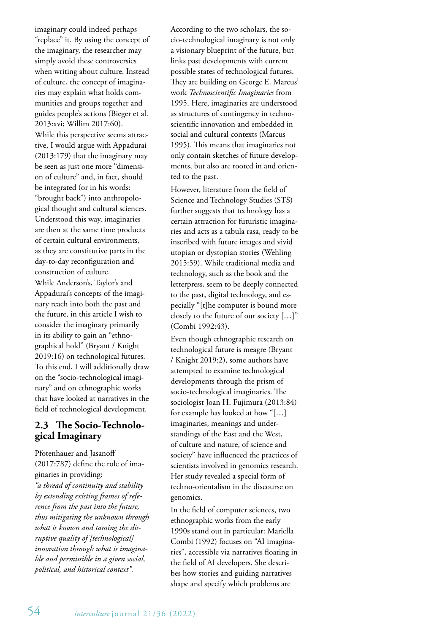imaginary could indeed perhaps "replace" it. By using the concept of the imaginary, the researcher may simply avoid these controversies when writing about culture. Instead of culture, the concept of imaginaries may explain what holds communities and groups together and guides people's actions (Bieger et al. 2013:xvi; Willim 2017:60).

While this perspective seems attractive, I would argue with Appadurai (2013:179) that the imaginary may be seen as just one more "dimension of culture" and, in fact, should be integrated (or in his words: "brought back") into anthropological thought and cultural sciences. Understood this way, imaginaries are then at the same time products of certain cultural environments, as they are constitutive parts in the day-to-day reconfiguration and construction of culture. While Anderson's, Taylor's and Appadurai's concepts of the imaginary reach into both the past and the future, in this article I wish to consider the imaginary primarily in its ability to gain an "ethnographical hold" (Bryant / Knight 2019:16) on technological futures. To this end, I will additionally draw on the "socio-technological imaginary" and on ethnographic works that have looked at narratives in the field of technological development.

# **2.3 The Socio-Technological Imaginary**

Pfotenhauer and Jasanoff (2017:787) define the role of imaginaries in providing: *"a thread of continuity and stability by extending existing frames of reference from the past into the future, thus mitigating the unknown through what is known and taming the disruptive quality of [technological] innovation through what is imaginable and permissible in a given social, political, and historical context".*

According to the two scholars, the socio-technological imaginary is not only a visionary blueprint of the future, but links past developments with current possible states of technological futures. They are building on George E. Marcus' work *Technoscientific Imaginaries* from 1995. Here, imaginaries are understood as structures of contingency in technoscientific innovation and embedded in social and cultural contexts (Marcus 1995). This means that imaginaries not only contain sketches of future developments, but also are rooted in and oriented to the past.

However, literature from the field of Science and Technology Studies (STS) further suggests that technology has a certain attraction for futuristic imaginaries and acts as a tabula rasa, ready to be inscribed with future images and vivid utopian or dystopian stories (Wehling 2015:59). While traditional media and technology, such as the book and the letterpress, seem to be deeply connected to the past, digital technology, and especially "[t]he computer is bound more closely to the future of our society […]" (Combi 1992:43).

Even though ethnographic research on technological future is meagre (Bryant / Knight 2019:2), some authors have attempted to examine technological developments through the prism of socio-technological imaginaries. The sociologist Joan H. Fujimura (2013:84) for example has looked at how "[…] imaginaries, meanings and understandings of the East and the West, of culture and nature, of science and society" have influenced the practices of scientists involved in genomics research. Her study revealed a special form of techno-orientalism in the discourse on genomics.

In the field of computer sciences, two ethnographic works from the early 1990s stand out in particular: Mariella Combi (1992) focuses on "AI imaginaries", accessible via narratives floating in the field of AI developers. She describes how stories and guiding narratives shape and specify which problems are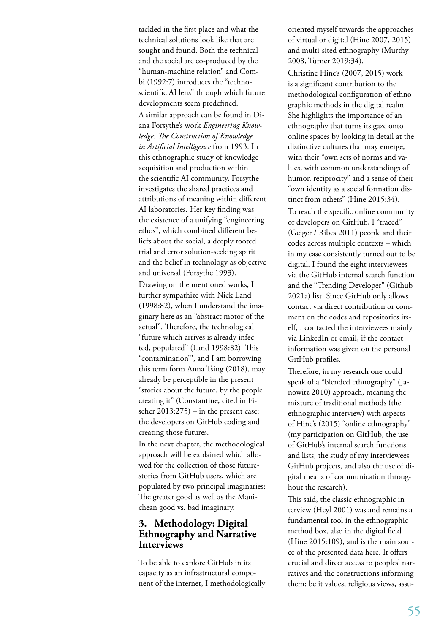tackled in the first place and what the technical solutions look like that are sought and found. Both the technical and the social are co-produced by the "human-machine relation" and Combi (1992:7) introduces the "technoscientific AI lens" through which future developments seem predefined. A similar approach can be found in Diana Forsythe's work *Engineering Knowledge: The Construction of Knowledge in Artificial Intelligence* from 1993. In this ethnographic study of knowledge acquisition and production within the scientific AI community, Forsythe investigates the shared practices and attributions of meaning within different AI laboratories. Her key finding was the existence of a unifying "engineering ethos", which combined different beliefs about the social, a deeply rooted trial and error solution-seeking spirit and the belief in technology as objective and universal (Forsythe 1993).

Drawing on the mentioned works, I further sympathize with Nick Land (1998:82), when I understand the imaginary here as an "abstract motor of the actual". Therefore, the technological "future which arrives is already infected, populated" (Land 1998:82). This "contamination"', and I am borrowing this term form Anna Tsing (2018), may already be perceptible in the present "stories about the future, by the people creating it" (Constantine, cited in Fischer 2013:275) – in the present case: the developers on GitHub coding and creating those futures.

In the next chapter, the methodological approach will be explained which allowed for the collection of those futurestories from GitHub users, which are populated by two principal imaginaries: The greater good as well as the Manichean good vs. bad imaginary.

#### **3. Methodology: Digital Ethnography and Narrative Interviews**

To be able to explore GitHub in its capacity as an infrastructural component of the internet, I methodologically oriented myself towards the approaches of virtual or digital (Hine 2007, 2015) and multi-sited ethnography (Murthy 2008, Turner 2019:34).

Christine Hine's (2007, 2015) work is a significant contribution to the methodological configuration of ethnographic methods in the digital realm. She highlights the importance of an ethnography that turns its gaze onto online spaces by looking in detail at the distinctive cultures that may emerge, with their "own sets of norms and values, with common understandings of humor, reciprocity" and a sense of their "own identity as a social formation distinct from others" (Hine 2015:34).

To reach the specific online community of developers on GitHub, I "traced" (Geiger / Ribes 2011) people and their codes across multiple contexts – which in my case consistently turned out to be digital. I found the eight interviewees via the GitHub internal search function and the "Trending Developer" (Github 2021a) list. Since GitHub only allows contact via direct contribution or comment on the codes and repositories itself, I contacted the interviewees mainly via LinkedIn or email, if the contact information was given on the personal GitHub profiles.

Therefore, in my research one could speak of a "blended ethnography" (Janowitz 2010) approach, meaning the mixture of traditional methods (the ethnographic interview) with aspects of Hine's (2015) "online ethnography" (my participation on GitHub, the use of GitHub's internal search functions and lists, the study of my interviewees GitHub projects, and also the use of digital means of communication throughout the research).

This said, the classic ethnographic interview (Heyl 2001) was and remains a fundamental tool in the ethnographic method box, also in the digital field (Hine 2015:109), and is the main source of the presented data here. It offers crucial and direct access to peoples' narratives and the constructions informing them: be it values, religious views, assu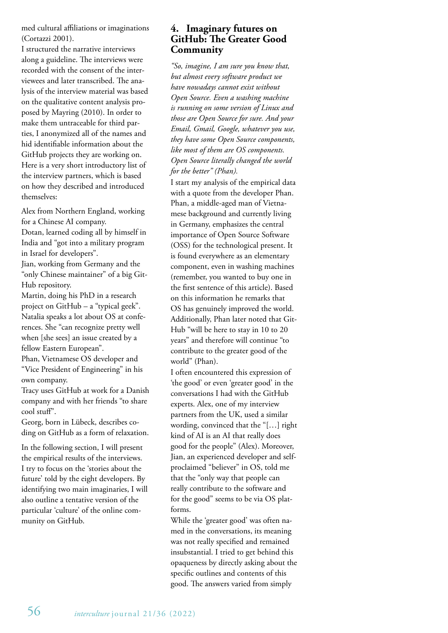med cultural affiliations or imaginations (Cortazzi 2001).

I structured the narrative interviews along a guideline. The interviews were recorded with the consent of the interviewees and later transcribed. The analysis of the interview material was based on the qualitative content analysis proposed by Mayring (2010). In order to make them untraceable for third parties, I anonymized all of the names and hid identifiable information about the GitHub projects they are working on. Here is a very short introductory list of the interview partners, which is based on how they described and introduced themselves:

Alex from Northern England, working for a Chinese AI company.

Dotan, learned coding all by himself in India and "got into a military program in Israel for developers".

Jian, working from Germany and the "only Chinese maintainer" of a big Git-Hub repository.

Martin, doing his PhD in a research project on GitHub – a "typical geek". Natalia speaks a lot about OS at conferences. She "can recognize pretty well when [she sees] an issue created by a fellow Eastern European".

Phan, Vietnamese OS developer and "Vice President of Engineering" in his own company.

Tracy uses GitHub at work for a Danish company and with her friends "to share cool stuff".

Georg, born in Lübeck, describes coding on GitHub as a form of relaxation.

In the following section, I will present the empirical results of the interviews. I try to focus on the 'stories about the future' told by the eight developers. By identifying two main imaginaries, I will also outline a tentative version of the particular 'culture' of the online community on GitHub.

### **4. Imaginary futures on GitHub: The Greater Good Community**

*"So, imagine, I am sure you know that, but almost every software product we have nowadays cannot exist without Open Source. Even a washing machine is running on some version of Linux and those are Open Source for sure. And your Email, Gmail, Google, whatever you use, they have some Open Source components, like most of them are OS components. Open Source literally changed the world for the better" (Phan).*

I start my analysis of the empirical data with a quote from the developer Phan. Phan, a middle-aged man of Vietnamese background and currently living in Germany, emphasizes the central importance of Open Source Software (OSS) for the technological present. It is found everywhere as an elementary component, even in washing machines (remember, you wanted to buy one in the first sentence of this article). Based on this information he remarks that OS has genuinely improved the world. Additionally, Phan later noted that Git-Hub "will be here to stay in 10 to 20 years" and therefore will continue "to contribute to the greater good of the world" (Phan).

I often encountered this expression of 'the good' or even 'greater good' in the conversations I had with the GitHub experts. Alex, one of my interview partners from the UK, used a similar wording, convinced that the "[…] right kind of AI is an AI that really does good for the people" (Alex). Moreover, Jian, an experienced developer and selfproclaimed "believer" in OS, told me that the "only way that people can really contribute to the software and for the good" seems to be via OS platforms.

While the 'greater good' was often named in the conversations, its meaning was not really specified and remained insubstantial. I tried to get behind this opaqueness by directly asking about the specific outlines and contents of this good. The answers varied from simply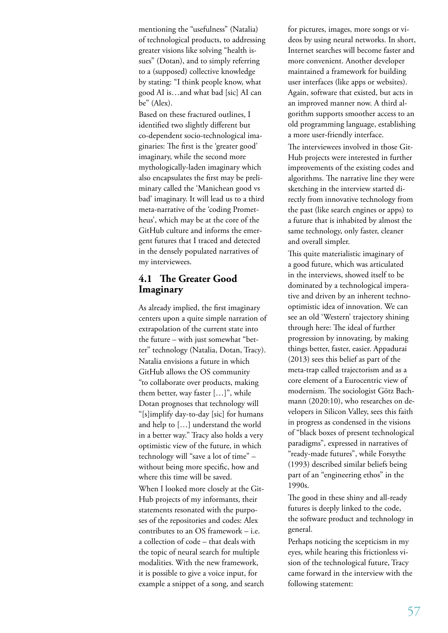mentioning the "usefulness" (Natalia) of technological products, to addressing greater visions like solving "health issues" (Dotan), and to simply referring to a (supposed) collective knowledge by stating: "I think people know, what good AI is…and what bad [sic] AI can be" (Alex).

Based on these fractured outlines, I identified two slightly different but co-dependent socio-technological imaginaries: The first is the 'greater good' imaginary, while the second more mythologically-laden imaginary which also encapsulates the first may be preliminary called the 'Manichean good vs bad' imaginary. It will lead us to a third meta-narrative of the 'coding Prometheus', which may be at the core of the GitHub culture and informs the emergent futures that I traced and detected in the densely populated narratives of my interviewees.

#### **4.1 The Greater Good Imaginary**

As already implied, the first imaginary centers upon a quite simple narration of extrapolation of the current state into the future – with just somewhat "better" technology (Natalia, Dotan, Tracy). Natalia envisions a future in which GitHub allows the OS community "to collaborate over products, making them better, way faster […]", while Dotan prognoses that technology will "[s]implify day-to-day [sic] for humans and help to […] understand the world in a better way." Tracy also holds a very optimistic view of the future, in which technology will "save a lot of time" – without being more specific, how and where this time will be saved. When I looked more closely at the Git-Hub projects of my informants, their statements resonated with the purposes of the repositories and codes: Alex contributes to an OS framework – i.e. a collection of code – that deals with the topic of neural search for multiple modalities. With the new framework,

it is possible to give a voice input, for example a snippet of a song, and search for pictures, images, more songs or videos by using neural networks. In short, Internet searches will become faster and more convenient. Another developer maintained a framework for building user interfaces (like apps or websites). Again, software that existed, but acts in an improved manner now. A third algorithm supports smoother access to an old programming language, establishing a more user-friendly interface.

The interviewees involved in those Git-Hub projects were interested in further improvements of the existing codes and algorithms. The narrative line they were sketching in the interview started directly from innovative technology from the past (like search engines or apps) to a future that is inhabited by almost the same technology, only faster, cleaner and overall simpler.

This quite materialistic imaginary of a good future, which was articulated in the interviews, showed itself to be dominated by a technological imperative and driven by an inherent technooptimistic idea of innovation. We can see an old 'Western' trajectory shining through here: The ideal of further progression by innovating, by making things better, faster, easier. Appadurai (2013) sees this belief as part of the meta-trap called trajectorism and as a core element of a Eurocentric view of modernism. The sociologist Götz Bachmann (2020:10), who researches on developers in Silicon Valley, sees this faith in progress as condensed in the visions of "black boxes of present technological paradigms", expressed in narratives of "ready-made futures", while Forsythe (1993) described similar beliefs being part of an "engineering ethos" in the 1990s.

The good in these shiny and all-ready futures is deeply linked to the code, the software product and technology in general.

Perhaps noticing the scepticism in my eyes, while hearing this frictionless vision of the technological future, Tracy came forward in the interview with the following statement: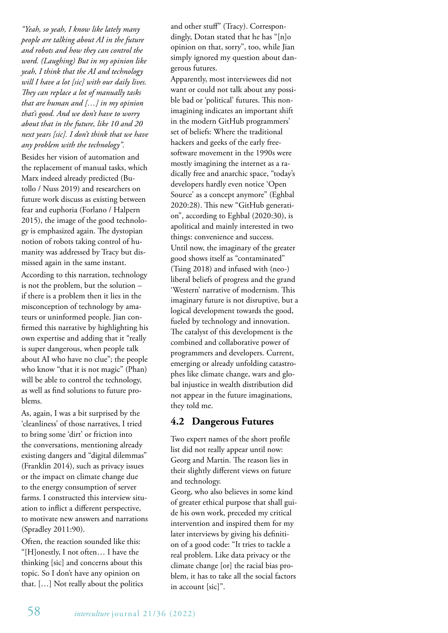*"Yeah, so yeah, I know like lately many people are talking about AI in the future and robots and how they can control the word. (Laughing) But in my opinion like yeah, I think that the AI and technology will I have a lot [sic] with our daily lives. They can replace a lot of manually tasks that are human and […] in my opinion that's good. And we don't have to worry about that in the future, like 10 and 20 next years [sic]. I don't think that we have any problem with the technology".* 

Besides her vision of automation and the replacement of manual tasks, which Marx indeed already predicted (Butollo / Nuss 2019) and researchers on future work discuss as existing between fear and euphoria (Forlano / Halpern 2015), the image of the good technology is emphasized again. The dystopian notion of robots taking control of humanity was addressed by Tracy but dismissed again in the same instant.

According to this narration, technology is not the problem, but the solution – if there is a problem then it lies in the misconception of technology by amateurs or uninformed people. Jian confirmed this narrative by highlighting his own expertise and adding that it "really is super dangerous, when people talk about AI who have no clue"; the people who know "that it is not magic" (Phan) will be able to control the technology, as well as find solutions to future problems.

As, again, I was a bit surprised by the 'cleanliness' of those narratives, I tried to bring some 'dirt' or friction into the conversations, mentioning already existing dangers and "digital dilemmas" (Franklin 2014), such as privacy issues or the impact on climate change due to the energy consumption of server farms. I constructed this interview situation to inflict a different perspective, to motivate new answers and narrations (Spradley 2011:90).

Often, the reaction sounded like this: "[H]onestly, I not often… I have the thinking [sic] and concerns about this topic. So I don't have any opinion on that. […] Not really about the politics and other stuff" (Tracy). Correspondingly, Dotan stated that he has "[n]o opinion on that, sorry", too, while Jian simply ignored my question about dangerous futures.

Apparently, most interviewees did not want or could not talk about any possible bad or 'political' futures. This nonimagining indicates an important shift in the modern GitHub programmers' set of beliefs: Where the traditional hackers and geeks of the early freesoftware movement in the 1990s were mostly imagining the internet as a radically free and anarchic space, "today's developers hardly even notice 'Open Source' as a concept anymore" (Eghbal 2020:28). This new "GitHub generation", according to Eghbal (2020:30), is apolitical and mainly interested in two things: convenience and success. Until now, the imaginary of the greater good shows itself as "contaminated" (Tsing 2018) and infused with (neo-) liberal beliefs of progress and the grand 'Western' narrative of modernism. This imaginary future is not disruptive, but a logical development towards the good, fueled by technology and innovation. The catalyst of this development is the combined and collaborative power of programmers and developers. Current, emerging or already unfolding catastrophes like climate change, wars and global injustice in wealth distribution did not appear in the future imaginations, they told me.

# **4.2 Dangerous Futures**

Two expert names of the short profile list did not really appear until now: Georg and Martin. The reason lies in their slightly different views on future and technology.

Georg, who also believes in some kind of greater ethical purpose that shall guide his own work, preceded my critical intervention and inspired them for my later interviews by giving his definition of a good code: "It tries to tackle a real problem. Like data privacy or the climate change [or] the racial bias problem, it has to take all the social factors in account [sic]".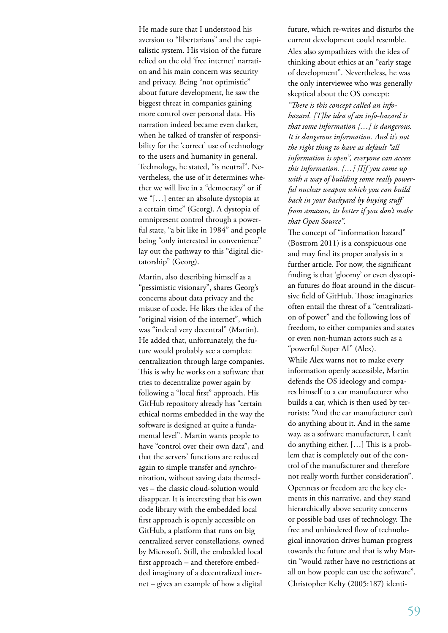He made sure that I understood his aversion to "libertarians" and the capitalistic system. His vision of the future relied on the old 'free internet' narration and his main concern was security and privacy. Being "not optimistic" about future development, he saw the biggest threat in companies gaining more control over personal data. His narration indeed became even darker, when he talked of transfer of responsibility for the 'correct' use of technology to the users and humanity in general. Technology, he stated, "is neutral". Nevertheless, the use of it determines whether we will live in a "democracy" or if we "[…] enter an absolute dystopia at a certain time" (Georg). A dystopia of omnipresent control through a powerful state, "a bit like in 1984" and people being "only interested in convenience" lay out the pathway to this "digital dictatorship" (Georg).

Martin, also describing himself as a "pessimistic visionary", shares Georg's concerns about data privacy and the misuse of code. He likes the idea of the "original vision of the internet", which was "indeed very decentral" (Martin). He added that, unfortunately, the future would probably see a complete centralization through large companies. This is why he works on a software that tries to decentralize power again by following a "local first" approach. His GitHub repository already has "certain ethical norms embedded in the way the software is designed at quite a fundamental level". Martin wants people to have "control over their own data", and that the servers' functions are reduced again to simple transfer and synchronization, without saving data themselves – the classic cloud-solution would disappear. It is interesting that his own code library with the embedded local first approach is openly accessible on GitHub, a platform that runs on big centralized server constellations, owned by Microsoft. Still, the embedded local first approach – and therefore embedded imaginary of a decentralized internet – gives an example of how a digital

future, which re-writes and disturbs the current development could resemble. Alex also sympathizes with the idea of thinking about ethics at an "early stage of development". Nevertheless, he was the only interviewee who was generally skeptical about the OS concept:

*"There is this concept called an infohazard. [T]he idea of an info-hazard is that some information […] is dangerous. It is dangerous information. And it's not the right thing to have as default "all information is open", everyone can access this information. […] [I]f you come up with a way of building some really powerful nuclear weapon which you can build back in your backyard by buying stuff from amazon, its better if you don't make that Open Source".* 

The concept of "information hazard" (Bostrom 2011) is a conspicuous one and may find its proper analysis in a further article. For now, the significant finding is that 'gloomy' or even dystopian futures do float around in the discursive field of GitHub. Those imaginaries often entail the threat of a "centralization of power" and the following loss of freedom, to either companies and states or even non-human actors such as a "powerful Super AI" (Alex).

While Alex warns not to make every information openly accessible, Martin defends the OS ideology and compares himself to a car manufacturer who builds a car, which is then used by terrorists: "And the car manufacturer can't do anything about it. And in the same way, as a software manufacturer, I can't do anything either. […] This is a problem that is completely out of the control of the manufacturer and therefore not really worth further consideration". Openness or freedom are the key elements in this narrative, and they stand hierarchically above security concerns or possible bad uses of technology. The free and unhindered flow of technological innovation drives human progress towards the future and that is why Martin "would rather have no restrictions at all on how people can use the software". Christopher Kelty (2005:187) identi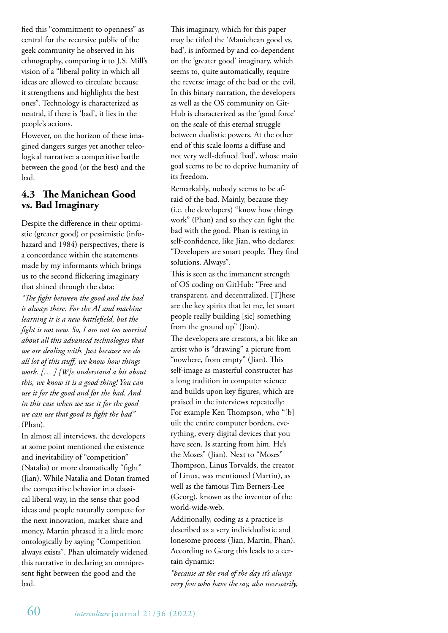fied this "commitment to openness" as central for the recursive public of the geek community he observed in his ethnography, comparing it to J.S. Mill's vision of a "liberal polity in which all ideas are allowed to circulate because it strengthens and highlights the best ones". Technology is characterized as neutral, if there is 'bad', it lies in the people's actions.

However, on the horizon of these imagined dangers surges yet another teleological narrative: a competitive battle between the good (or the best) and the bad.

# **4.3 The Manichean Good vs. Bad Imaginary**

Despite the difference in their optimistic (greater good) or pessimistic (infohazard and 1984) perspectives, there is a concordance within the statements made by my informants which brings us to the second flickering imaginary that shined through the data:

*"The fight between the good and the bad is always there. For the AI and machine learning it is a new battlefield, but the fight is not new. So, I am not too worried about all this advanced technologies that we are dealing with. Just because we do all lot of this stuff, we know how things work. [… ] [W]e understand a bit about this, we know it is a good thing! You can use it for the good and for the bad. And in this case when we use it for the good we can use that good to fight the bad"*  (Phan).

In almost all interviews, the developers at some point mentioned the existence and inevitability of "competition" (Natalia) or more dramatically "fight" (Jian). While Natalia and Dotan framed the competitive behavior in a classical liberal way, in the sense that good ideas and people naturally compete for the next innovation, market share and money, Martin phrased it a little more ontologically by saying "Competition always exists". Phan ultimately widened this narrative in declaring an omnipresent fight between the good and the bad.

This imaginary, which for this paper may be titled the 'Manichean good vs. bad', is informed by and co-dependent on the 'greater good' imaginary, which seems to, quite automatically, require the reverse image of the bad or the evil. In this binary narration, the developers as well as the OS community on Git-Hub is characterized as the 'good force' on the scale of this eternal struggle between dualistic powers. At the other end of this scale looms a diffuse and not very well-defined 'bad', whose main goal seems to be to deprive humanity of its freedom.

Remarkably, nobody seems to be afraid of the bad. Mainly, because they (i.e. the developers) "know how things work" (Phan) and so they can fight the bad with the good. Phan is resting in self-confidence, like Jian, who declares: "Developers are smart people. They find solutions. Always".

This is seen as the immanent strength of OS coding on GitHub: "Free and transparent, and decentralized. [T]hese are the key spirits that let me, let smart people really building [sic] something from the ground up" (Jian).

The developers are creators, a bit like an artist who is "drawing" a picture from "nowhere, from empty" (Jian). This self-image as masterful constructer has a long tradition in computer science and builds upon key figures, which are praised in the interviews repeatedly: For example Ken Thompson, who "[b] uilt the entire computer borders, everything, every digital devices that you have seen. Is starting from him. He's the Moses" (Jian). Next to "Moses" Thompson, Linus Torvalds, the creator of Linux, was mentioned (Martin), as well as the famous Tim Berners-Lee (Georg), known as the inventor of the world-wide-web.

Additionally, coding as a practice is described as a very individualistic and lonesome process (Jian, Martin, Phan). According to Georg this leads to a certain dynamic:

*"because at the end of the day it's always very few who have the say, also necessarily,*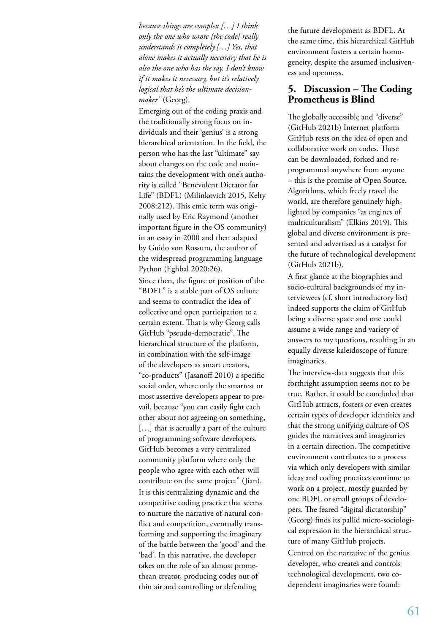*because things are complex […] I think only the one who wrote [the code] really understands it completely.[…] Yes, that alone makes it actually necessary that he is also the one who has the say. I don't know if it makes it necessary, but it's relatively logical that he's the ultimate decisionmaker"* (Georg).

Emerging out of the coding praxis and the traditionally strong focus on individuals and their 'genius' is a strong hierarchical orientation. In the field, the person who has the last "ultimate" say about changes on the code and maintains the development with one's authority is called "Benevolent Dictator for Life" (BDFL) (Milinkovich 2015, Kelty 2008:212). This emic term was originally used by Eric Raymond (another important figure in the OS community) in an essay in 2000 and then adapted by Guido von Rossum, the author of the widespread programming language Python (Eghbal 2020:26).

Since then, the figure or position of the "BDFL" is a stable part of OS culture and seems to contradict the idea of collective and open participation to a certain extent. That is why Georg calls GitHub "pseudo-democratic". The hierarchical structure of the platform, in combination with the self-image of the developers as smart creators, "co-products" (Jasanoff 2010) a specific social order, where only the smartest or most assertive developers appear to prevail, because "you can easily fight each other about not agreeing on something, [...] that is actually a part of the culture of programming software developers. GitHub becomes a very centralized community platform where only the people who agree with each other will contribute on the same project" (Jian). It is this centralizing dynamic and the competitive coding practice that seems to nurture the narrative of natural conflict and competition, eventually transforming and supporting the imaginary of the battle between the 'good' and the 'bad'. In this narrative, the developer takes on the role of an almost promethean creator, producing codes out of thin air and controlling or defending

the future development as BDFL. At the same time, this hierarchical GitHub environment fosters a certain homogeneity, despite the assumed inclusiveness and openness.

#### **5. Discussion – The Coding Prometheus is Blind**

The globally accessible and "diverse" (GitHub 2021b) Internet platform GitHub rests on the idea of open and collaborative work on codes. These can be downloaded, forked and reprogrammed anywhere from anyone – this is the promise of Open Source. Algorithms, which freely travel the world, are therefore genuinely highlighted by companies "as engines of multiculturalism" (Elkins 2019). This global and diverse environment is presented and advertised as a catalyst for the future of technological development (GitHub 2021b).

A first glance at the biographies and socio-cultural backgrounds of my interviewees (cf. short introductory list) indeed supports the claim of GitHub being a diverse space and one could assume a wide range and variety of answers to my questions, resulting in an equally diverse kaleidoscope of future imaginaries.

The interview-data suggests that this forthright assumption seems not to be true. Rather, it could be concluded that GitHub attracts, fosters or even creates certain types of developer identities and that the strong unifying culture of OS guides the narratives and imaginaries in a certain direction. The competitive environment contributes to a process via which only developers with similar ideas and coding practices continue to work on a project, mostly guarded by one BDFL or small groups of developers. The feared "digital dictatorship" (Georg) finds its pallid micro-sociological expression in the hierarchical structure of many GitHub projects. Centred on the narrative of the genius developer, who creates and controls technological development, two codependent imaginaries were found: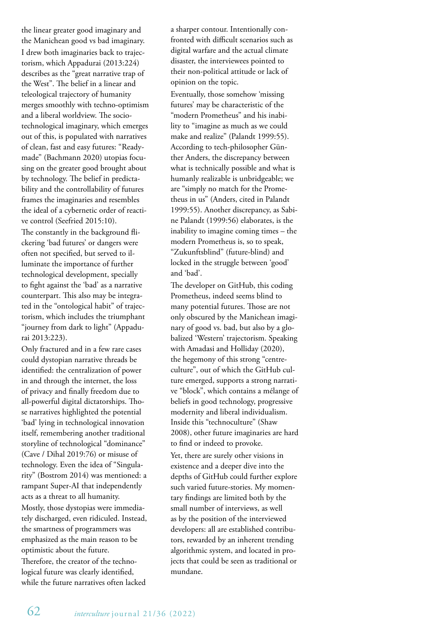the linear greater good imaginary and the Manichean good vs bad imaginary. I drew both imaginaries back to trajectorism, which Appadurai (2013:224) describes as the "great narrative trap of the West". The belief in a linear and teleological trajectory of humanity merges smoothly with techno-optimism and a liberal worldview. The sociotechnological imaginary, which emerges out of this, is populated with narratives of clean, fast and easy futures: "Readymade" (Bachmann 2020) utopias focusing on the greater good brought about by technology. The belief in predictability and the controllability of futures frames the imaginaries and resembles the ideal of a cybernetic order of reactive control (Seefried 2015:10).

The constantly in the background flickering 'bad futures' or dangers were often not specified, but served to illuminate the importance of further technological development, specially to fight against the 'bad' as a narrative counterpart. This also may be integrated in the "ontological habit" of trajectorism, which includes the triumphant "journey from dark to light" (Appadurai 2013:223).

Only fractured and in a few rare cases could dystopian narrative threads be identified: the centralization of power in and through the internet, the loss of privacy and finally freedom due to all-powerful digital dictatorships. Those narratives highlighted the potential 'bad' lying in technological innovation itself, remembering another traditional storyline of technological "dominance" (Cave / Dihal 2019:76) or misuse of technology. Even the idea of "Singularity" (Bostrom 2014) was mentioned: a rampant Super-AI that independently acts as a threat to all humanity.

Mostly, those dystopias were immediately discharged, even ridiculed. Instead, the smartness of programmers was emphasized as the main reason to be optimistic about the future.

Therefore, the creator of the technological future was clearly identified, while the future narratives often lacked a sharper contour. Intentionally confronted with difficult scenarios such as digital warfare and the actual climate disaster, the interviewees pointed to their non-political attitude or lack of opinion on the topic.

Eventually, those somehow 'missing futures' may be characteristic of the "modern Prometheus" and his inability to "imagine as much as we could make and realize" (Palandt 1999:55). According to tech-philosopher Günther Anders, the discrepancy between what is technically possible and what is humanly realizable is unbridgeable; we are "simply no match for the Prometheus in us" (Anders, cited in Palandt 1999:55). Another discrepancy, as Sabine Palandt (1999:56) elaborates, is the inability to imagine coming times – the modern Prometheus is, so to speak, "Zukunftsblind" (future-blind) and locked in the struggle between 'good' and 'bad'.

The developer on GitHub, this coding Prometheus, indeed seems blind to many potential futures. Those are not only obscured by the Manichean imaginary of good vs. bad, but also by a globalized 'Western' trajectorism. Speaking with Amadasi and Holliday (2020), the hegemony of this strong "centreculture", out of which the GitHub culture emerged, supports a strong narrative "block", which contains a mélange of beliefs in good technology, progressive modernity and liberal individualism. Inside this "technoculture" (Shaw 2008), other future imaginaries are hard to find or indeed to provoke.

Yet, there are surely other visions in existence and a deeper dive into the depths of GitHub could further explore such varied future-stories. My momentary findings are limited both by the small number of interviews, as well as by the position of the interviewed developers: all are established contributors, rewarded by an inherent trending algorithmic system, and located in projects that could be seen as traditional or mundane.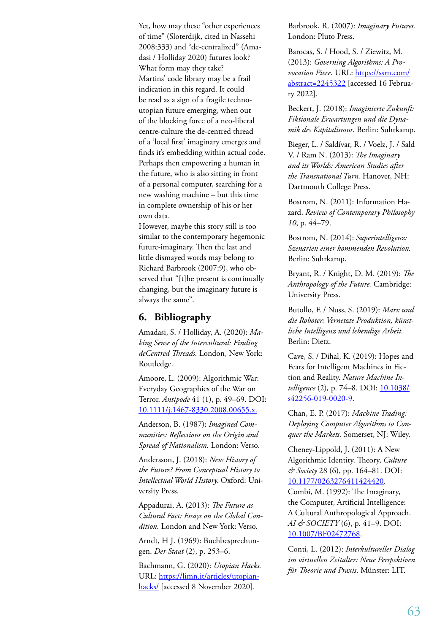Yet, how may these "other experiences of time" (Sloterdijk, cited in Nassehi 2008:333) and "de-centralized" (Amadasi / Holliday 2020) futures look? What form may they take? Martins' code library may be a frail indication in this regard. It could be read as a sign of a fragile technoutopian future emerging, when out of the blocking force of a neo-liberal centre-culture the de-centred thread of a 'local first' imaginary emerges and finds it's embedding within actual code. Perhaps then empowering a human in the future, who is also sitting in front of a personal computer, searching for a new washing machine – but this time in complete ownership of his or her own data.

However, maybe this story still is too similar to the contemporary hegemonic future-imaginary. Then the last and little dismayed words may belong to Richard Barbrook (2007:9), who observed that "[t]he present is continually changing, but the imaginary future is always the same".

#### **6. Bibliography**

Amadasi, S. / Holliday, A. (2020): *Making Sense of the Intercultural: Finding deCentred Threads.* London, New York: Routledge.

Amoore, L. (2009): Algorithmic War: Everyday Geographies of the War on Terror. *Antipode* 41 (1), p. 49–69. DOI: 10.1111/j.1467-8330.2008.00655.x.

Anderson, B. (1987): *Imagined Communities: Reflections on the Origin and Spread of Nationalism.* London: Verso.

Andersson, J. (2018): *New History of the Future? From Conceptual History to Intellectual World History.* Oxford: University Press.

Appadurai, A. (2013): *The Future as Cultural Fact: Essays on the Global Condition.* London and New York: Verso.

Arndt, H J. (1969): Buchbesprechungen. *Der Staat* (2), p. 253–6.

Bachmann, G. (2020): *Utopian Hacks.*  URL: https://limn.it/articles/utopianhacks/ [accessed 8 November 2020].

Barbrook, R. (2007): *Imaginary Futures.*  London: Pluto Press.

Barocas, S. / Hood, S. / Ziewitz, M. (2013): *Governing Algorithms: A Provocation Piece.* URL: https://ssrn.com/ abstract=2245322 [accessed 16 February 2022].

Beckert, J. (2018): *Imaginierte Zukunft: Fiktionale Erwartungen und die Dynamik des Kapitalismus.* Berlin: Suhrkamp.

Bieger, L. / Saldívar, R. / Voelz, J. / Sald V. / Ram N. (2013): *The Imaginary and its Worlds: American Studies after the Transnational Turn.* Hanover, NH: Dartmouth College Press.

Bostrom, N. (2011): Information Hazard. *Review of Contemporary Philosophy 10*, p. 44–79.

Bostrom, N. (2014): *Superintelligenz: Szenarien einer kommenden Revolution.*  Berlin: Suhrkamp.

Bryant, R. / Knight, D. M. (2019): *The Anthropology of the Future.* Cambridge: University Press.

Butollo, F. / Nuss, S. (2019): *Marx und die Roboter: Vernetzte Produktion, künstliche Intelligenz und lebendige Arbeit.* Berlin: Dietz.

Cave, S. / Dihal, K. (2019): Hopes and Fears for Intelligent Machines in Fiction and Reality. *Nature Machine Intelligence* (2), p. 74-8. DOI: 10.1038/ s42256-019-0020-9.

Chan, E. P. (2017): *Machine Trading: Deploying Computer Algorithms to Conquer the Markets.* Somerset, NJ: Wiley.

Cheney-Lippold, J. (2011): A New Algorithmic Identity. Theory, *Culture & Society* 28 (6), pp. 164–81. DOI: 10.1177/0263276411424420.

Combi, M. (1992): The Imaginary, the Computer, Artificial Intelligence: A Cultural Anthropological Approach. *AI & SOCIETY* (6), p. 41–9. DOI: 10.1007/BF02472768.

Conti, L. (2012): *Interkultureller Dialog im virtuellen Zeitalter: Neue Perspektiven für Theorie und Praxis*. Münster: LIT.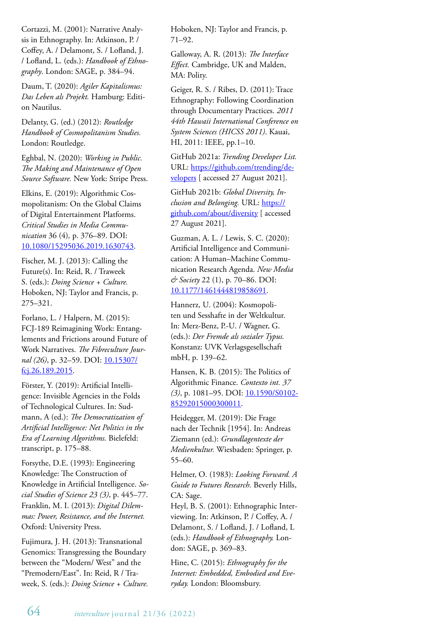Cortazzi, M. (2001): Narrative Analysis in Ethnography. In: Atkinson, P. / Coffey, A. / Delamont, S. / Lofland, J. / Lofland, L. (eds.): *Handbook of Ethnography*. London: SAGE, p. 384–94.

Daum, T. (2020): *Agiler Kapitalismus: Das Leben als Projekt.* Hamburg: Edition Nautilus.

Delanty, G. (ed.) (2012): *Routledge Handbook of Cosmopolitanism Studies.*  London: Routledge.

Eghbal, N. (2020): *Working in Public. The Making and Maintenance of Open Source Software.* New York: Stripe Press.

Elkins, E. (2019): Algorithmic Cosmopolitanism: On the Global Claims of Digital Entertainment Platforms. *Critical Studies in Media Communication* 36 (4)*,* p. 376–89. DOI: 10.1080/15295036.2019.1630743.

Fischer, M. J. (2013): Calling the Future(s). In: Reid, R. / Traweek S. (eds.): *Doing Science + Culture.* Hoboken, NJ: Taylor and Francis, p. 275–321.

Forlano, L. / Halpern, M. (2015): FCJ-189 Reimagining Work: Entanglements and Frictions around Future of Work Narratives. *The Fibreculture Jour*nal (26), p. 32–59. DOI: 10.15307/ fcj.26.189.2015.

Förster, Y. (2019): Artificial Intelligence: Invisible Agencies in the Folds of Technological Cultures. In: Sudmann, A (ed.): *The Democratization of Artificial Intelligence: Net Politics in the Era of Learning Algorithms.* Bielefeld: transcript, p. 175–88.

Forsythe, D.E. (1993): Engineering Knowledge: The Construction of Knowledge in Artificial Intelligence. *Social Studies of Science 23 (3)*, p. 445–77. Franklin, M. I. (2013): *Digital Dilemmas: Power, Resistance, and the Internet.* Oxford: University Press.

Fujimura, J. H. (2013): Transnational Genomics: Transgressing the Boundary between the "Modern/ West" and the "Premodern/East". In: Reid, R / Traweek, S. (eds.): *Doing Science + Culture.* Hoboken, NJ: Taylor and Francis, p. 71–92.

Galloway, A. R. (2013): *The Interface Effect.* Cambridge, UK and Malden, MA: Polity.

Geiger, R. S. / Ribes, D. (2011): Trace Ethnography: Following Coordination through Documentary Practices. *2011 44th Hawaii International Conference on System Sciences (HICSS 2011)*. Kauai, HI, 2011: IEEE, pp.1–10.

GitHub 2021a: *Trending Developer List.*  URL: https://github.com/trending/developers [ accessed 27 August 2021].

GitHub 2021b: *Global Diversity, Inclusion and Belonging.* URL: https:// github.com/about/diversity [ accessed 27 August 2021].

Guzman, A. L. / Lewis, S. C. (2020): Artificial Intelligence and Communication: A Human–Machine Communication Research Agenda. *New Media & Society* 22 (1), p. 70–86. DOI: 10.1177/1461444819858691.

Hannerz, U. (2004): Kosmopoliten und Sesshafte in der Weltkultur. In: Merz-Benz, P.-U. / Wagner, G. (eds.): *Der Fremde als sozialer Typus.* Konstanz: UVK Verlagsgesellschaft mbH, p. 139–62.

Hansen, K. B. (2015): The Politics of Algorithmic Finance. *Contexto int. 37 (3)*, p. 1081–95. DOI: 10.1590/S0102- 85292015000300011.

Heidegger, M. (2019): Die Frage nach der Technik [1954]. In: Andreas Ziemann (ed.): *Grundlagentexte der Medienkultur.* Wiesbaden: Springer, p. 55–60.

Helmer, O. (1983): *Looking Forward. A Guide to Futures Research.* Beverly Hills, CA: Sage.

Heyl, B. S. (2001): Ethnographic Interviewing. In: Atkinson, P. / Coffey, A. / Delamont, S. / Lofland, J. / Lofland, L (eds.): *Handbook of Ethnography.* London: SAGE, p. 369–83.

Hine, C. (2015): *Ethnography for the Internet: Embedded, Embodied and Everyday.* London: Bloomsbury.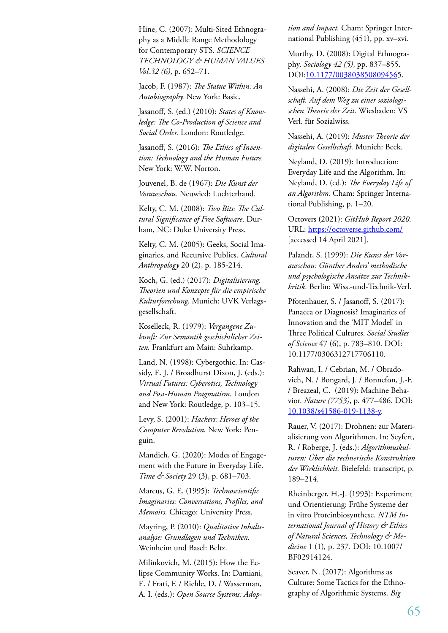Hine, C. (2007): Multi-Sited Ethnography as a Middle Range Methodology for Contemporary STS. *SCIENCE TECHNOLOGY & HUMAN VALUES Vol.32 (6)*, p. 652–71.

Jacob, F. (1987): *The Statue Within: An Autobiography.* New York: Basic.

Jasanoff, S. (ed.) (2010): *States of Knowledge: The Co-Production of Science and Social Order.* London: Routledge.

Jasanoff, S. (2016): *The Ethics of Invention: Technology and the Human Future.* New York: W.W. Norton.

Jouvenel, B. de (1967): *Die Kunst der Vorausschau.* Neuwied: Luchterhand.

Kelty, C. M. (2008): *Two Bits: The Cultural Significance of Free Software*. Durham, NC: Duke University Press.

Kelty, C. M. (2005): Geeks, Social Imaginaries, and Recursive Publics. *Cultural Anthropology* 20 (2), p. 185-214.

Koch, G. (ed.) (2017): *Digitalisierung. Theorien und Konzepte für die empirische Kulturforschung.* Munich: UVK Verlagsgesellschaft.

Koselleck, R. (1979): *Vergangene Zukunft: Zur Semantik geschichtlicher Zeiten.* Frankfurt am Main: Suhrkamp.

Land, N. (1998): Cybergothic. In: Cassidy, E. J. / Broadhurst Dixon, J. (eds.): *Virtual Futures: Cyberotics, Technology and Post-Human Pragmatism.* London and New York: Routledge, p. 103–15.

Levy, S. (2001): *Hackers: Heroes of the Computer Revolution.* New York: Penguin.

Mandich, G. (2020): Modes of Engagement with the Future in Everyday Life. *Time & Society* 29 (3), p. 681–703.

Marcus, G. E. (1995): *Technoscientific Imaginaries: Conversations, Profiles, and Memoirs.* Chicago: University Press.

Mayring, P. (2010): *Qualitative Inhaltsanalyse: Grundlagen und Techniken.* Weinheim und Basel: Beltz.

Milinkovich, M. (2015): How the Eclipse Community Works. In: Damiani, E. / Frati, F. / Riehle, D. / Wasserman, A. I. (eds.): *Open Source Systems: Adop-* *tion and Impact.* Cham: Springer International Publishing (451), pp. xv–xvi.

Murthy, D. (2008): Digital Ethnography. *Sociology 42 (5)*, pp. 837–855. DOI:10.1177/0038038508094565.

Nassehi, A. (2008): *Die Zeit der Gesellschaft. Auf dem Weg zu einer soziologischen Theorie der Zeit.* Wiesbaden: VS Verl. für Sozialwiss.

Nassehi, A. (2019): *Muster Theorie der digitalen Gesellschaft.* Munich: Beck.

Neyland, D. (2019): Introduction: Everyday Life and the Algorithm. In: Neyland, D. (ed.): *The Everyday Life of an Algorithm.* Cham: Springer International Publishing, p. 1–20.

Octovers (2021): *GitHub Report 2020.*  URL: https://octoverse.github.com/ [accessed 14 April 2021].

Palandt, S. (1999): *Die Kunst der Vorausschau: Günther Anders' methodische und psychologische Ansätze zur Technikkritik.* Berlin: Wiss.-und-Technik-Verl.

Pfotenhauer, S. / Jasanoff, S. (2017): Panacea or Diagnosis? Imaginaries of Innovation and the 'MIT Model' in Three Political Cultures. *Social Studies of Science* 47 (6), p. 783–810. DOI: 10.1177/0306312717706110.

Rahwan, I. / Cebrian, M. / Obradovich, N. / Bongard, J. / Bonnefon, J.-F. / Breazeal, C. (2019): Machine Behavior. *Nature (7753)*, p. 477–486. DOI: 10.1038/s41586-019-1138-y.

Rauer, V. (2017): Drohnen: zur Materialisierung von Algorithmen. In: Seyfert, R. / Roberge, J. (eds.): *Algorithmuskulturen: Über die rechnerische Konstruktion der Wirklichkeit.* Bielefeld: transcript, p. 189–214.

Rheinberger, H.-J. (1993): Experiment und Orientierung: Frühe Systeme der in vitro Proteinbiosynthese. *NTM International Journal of History & Ethics of Natural Sciences, Technology & Medicine* 1 (1)*,* p. 237. DOI: 10.1007/ BF02914124.

Seaver, N. (2017): Algorithms as Culture: Some Tactics for the Ethnography of Algorithmic Systems. *Big*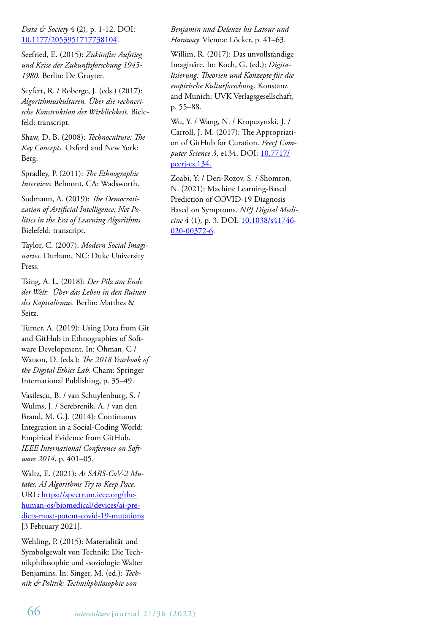#### *Data & Society* 4 (2), p. 1-12. DOI: 10.1177/2053951717738104.

Seefried, E. (2015): *Zukünfte: Aufstieg und Krise der Zukunftsforschung 1945- 1980.* Berlin: De Gruyter.

Seyfert, R. / Roberge, J. (eds.) (2017): *Algorithmuskulturen. Über die rechnerische Konstruktion der Wirklichkeit.* Bielefeld: transcript.

Shaw, D. B. (2008): *Technoculture: The Key Concepts.* Oxford and New York: Berg.

Spradley, P. (2011): *The Ethnographic Interview.* Belmont, CA: Wadsworth.

Sudmann, A. (2019): *The Democratization of Artificial Intelligence: Net Politics in the Era of Learning Algorithms.*  Bielefeld: transcript.

Taylor, C. (2007): *Modern Social Imaginaries.* Durham, NC: Duke University Press.

Tsing, A. L. (2018): *Der Pilz am Ende der Welt: Über das Leben in den Ruinen des Kapitalismus.* Berlin: Matthes & Seitz.

Turner, A. (2019): Using Data from Git and GitHub in Ethnographies of Software Development. In: Öhman, C / Watson, D. (eds.): *The 2018 Yearbook of the Digital Ethics Lab.* Cham: Springer International Publishing, p. 35–49.

Vasilescu, B. / van Schuylenburg, S. / Wulms, J. / Serebrenik, A. / van den Brand, M. G.J. (2014): Continuous Integration in a Social-Coding World: Empirical Evidence from GitHub. *IEEE International Conference on Software 2014*, p. 401–05.

Waltz, E. (2021): *As SARS-CoV-2 Mutates, AI Algorithms Try to Keep Pace.*  URL: https://spectrum.ieee.org/thehuman-os/biomedical/devices/ai-predicts-most-potent-covid-19-mutations [3 February 2021].

Wehling, P. (2015): Materialität und Symbolgewalt von Technik: Die Technikphilosophie und -soziologie Walter Benjamins. In: Singer, M. (ed.): *Technik & Politik: Technikphilosophie von* 

*Benjamin und Deleuze bis Latour und Haraway.* Vienna: Löcker, p. 41–63.

Willim, R. (2017): Das unvollständige Imaginäre. In: Koch, G. (ed.): *Digitalisierung: Theorien und Konzepte für die empirische Kulturforschung.* Konstanz and Munich: UVK Verlagsgesellschaft, p. 55–88.

Wu, Y. / Wang, N. / Kropczynski, J. / Carroll, J. M. (2017): The Appropriation of GitHub for Curation. *PeerJ Computer Science 3*, e134. DOI: 10.7717/ peerj-cs.134.

Zoabi, Y. / Deri-Rozov, S. / Shomron, N. (2021): Machine Learning-Based Prediction of COVID-19 Diagnosis Based on Symptoms. *NPJ Digital Medicine* 4 (1)*,* p. 3. DOI: 10.1038/s41746- 020-00372-6.